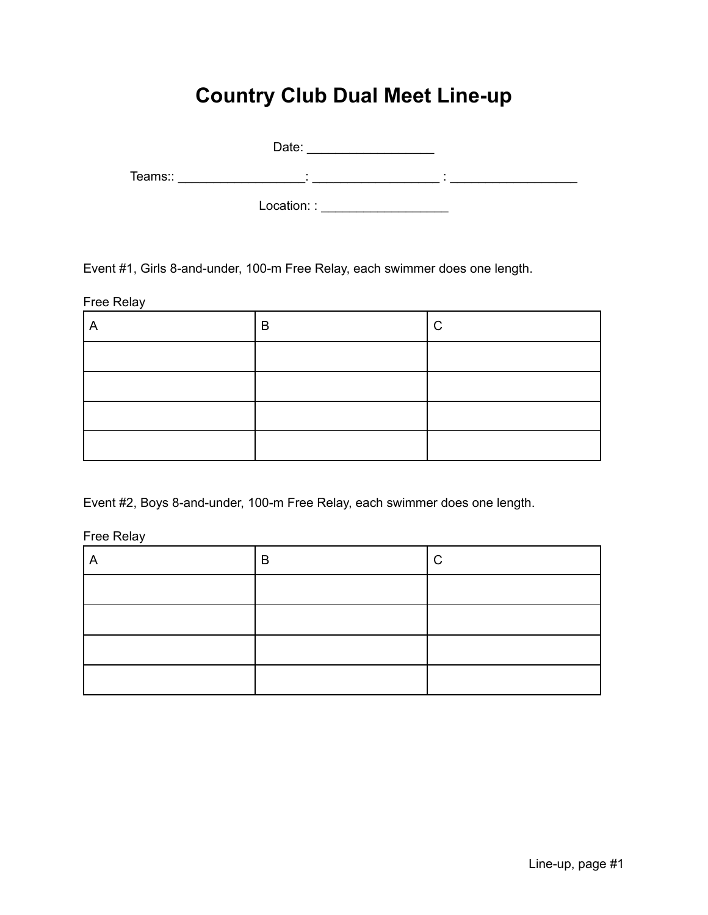# **Country Club Dual Meet Line-up**

Date: \_\_\_\_\_\_\_\_\_\_\_\_\_\_\_\_\_\_ Teams:: \_\_\_\_\_\_\_\_\_\_\_\_\_\_\_\_\_\_: \_\_\_\_\_\_\_\_\_\_\_\_\_\_\_\_\_\_ : \_\_\_\_\_\_\_\_\_\_\_\_\_\_\_\_\_\_

Location: : \_\_\_\_\_\_\_\_\_\_\_\_\_\_\_\_\_\_

Event #1, Girls 8-and-under, 100-m Free Relay, each swimmer does one length.

Free Relay

| B | ⌒ |
|---|---|
|   |   |
|   |   |
|   |   |
|   |   |

Event #2, Boys 8-and-under, 100-m Free Relay, each swimmer does one length.

Free Relay

| $\overline{ }$ | В | ⌒ |
|----------------|---|---|
|                |   |   |
|                |   |   |
|                |   |   |
|                |   |   |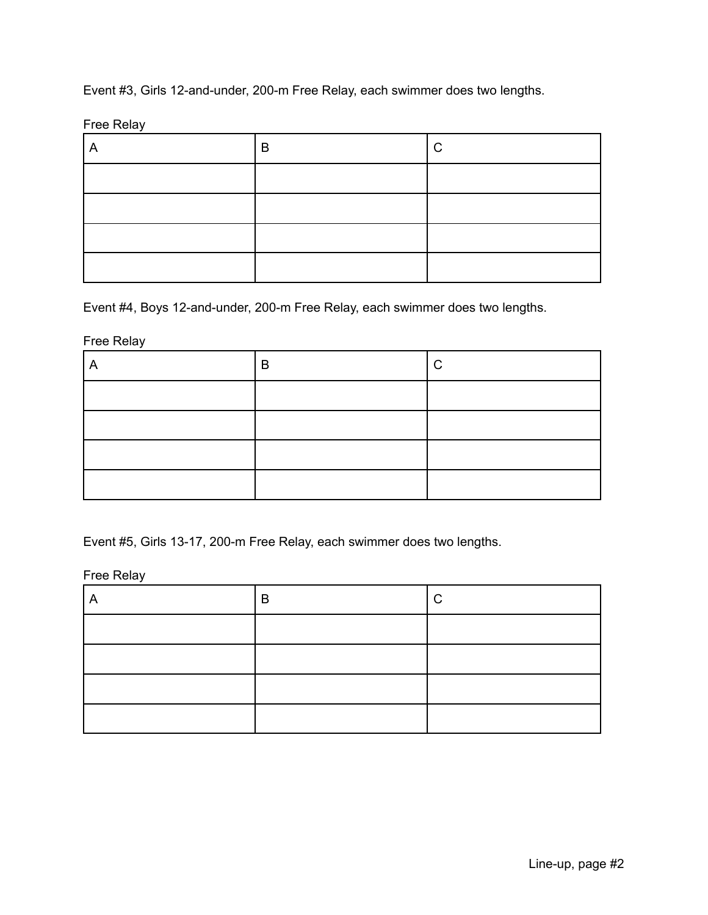Event #3, Girls 12-and-under, 200-m Free Relay, each swimmer does two lengths.

Free Relay

| ∼ | В | C. |
|---|---|----|
|   |   |    |
|   |   |    |
|   |   |    |
|   |   |    |

Event #4, Boys 12-and-under, 200-m Free Relay, each swimmer does two lengths.

Free Relay

| ┍ | в | ⌒ |
|---|---|---|
|   |   |   |
|   |   |   |
|   |   |   |
|   |   |   |

Event #5, Girls 13-17, 200-m Free Relay, each swimmer does two lengths.

Free Relay

| B | ⌒ |
|---|---|
|   |   |
|   |   |
|   |   |
|   |   |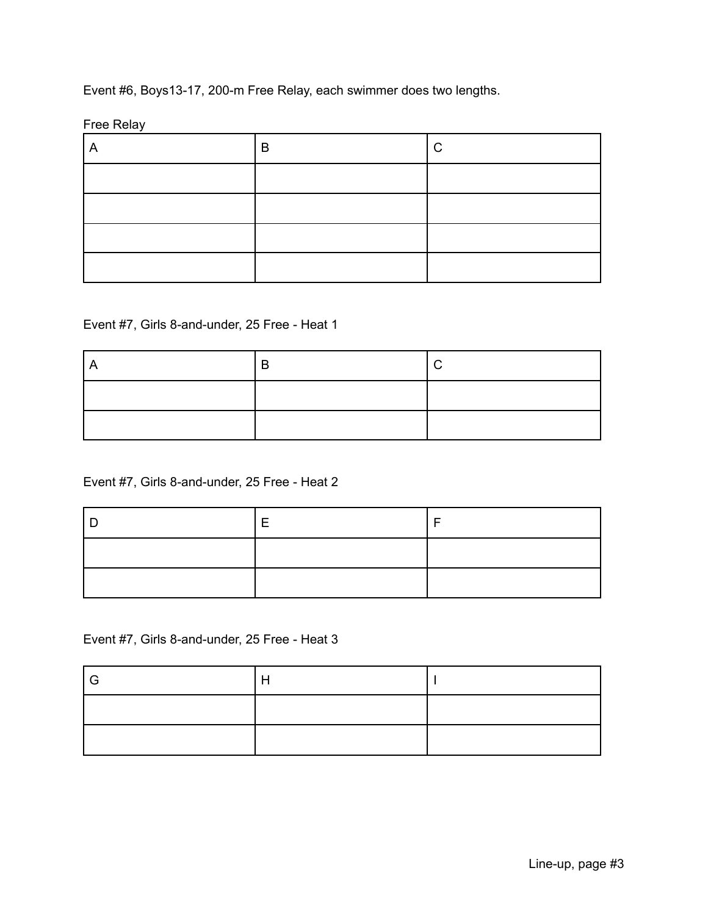Event #6, Boys13-17, 200-m Free Relay, each swimmer does two lengths.

Free Relay

| B | ⌒ |
|---|---|
|   |   |
|   |   |
|   |   |
|   |   |

## Event #7, Girls 8-and-under, 25 Free - Heat 1

## Event #7, Girls 8-and-under, 25 Free - Heat 2

## Event #7, Girls 8-and-under, 25 Free - Heat 3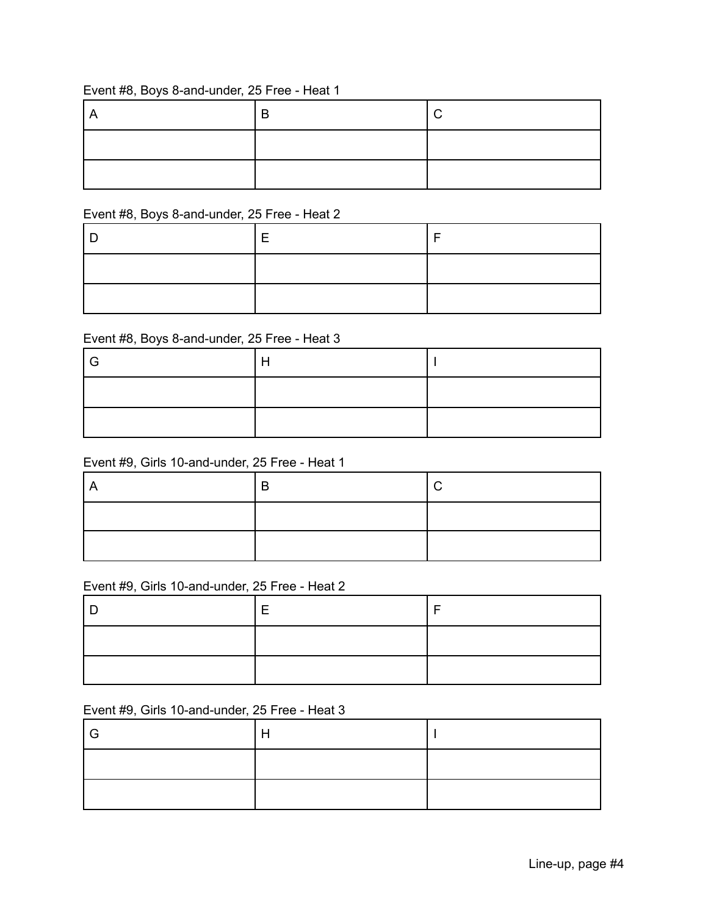### Event #8, Boys 8-and-under, 25 Free - Heat 1

#### Event #8, Boys 8-and-under, 25 Free - Heat 2

# Event #8, Boys 8-and-under, 25 Free - Heat 3

## Event #9, Girls 10-and-under, 25 Free - Heat 1

#### Event #9, Girls 10-and-under, 25 Free - Heat 2

### Event #9, Girls 10-and-under, 25 Free - Heat 3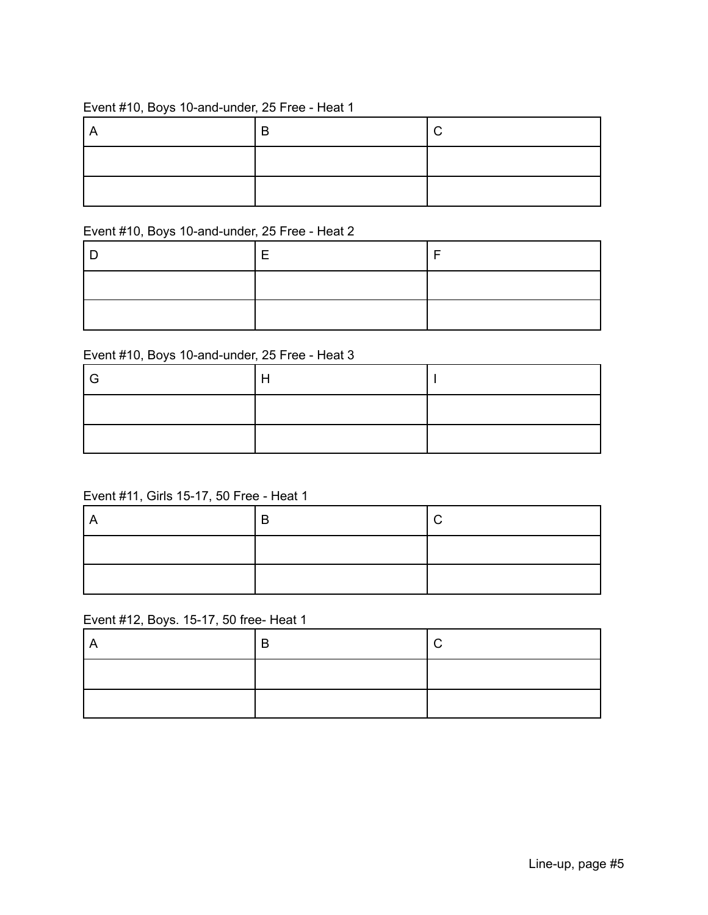#### Event #10, Boys 10-and-under, 25 Free - Heat 1

## Event #10, Boys 10-and-under, 25 Free - Heat 2

## Event #10, Boys 10-and-under, 25 Free - Heat 3

## Event #11, Girls 15-17, 50 Free - Heat 1

## Event #12, Boys. 15-17, 50 free- Heat 1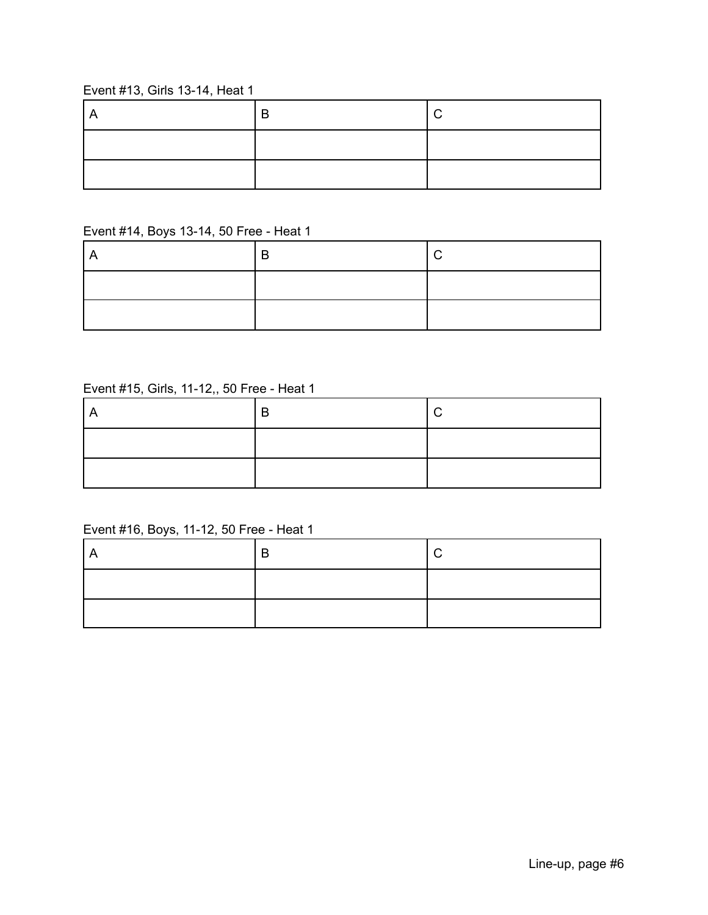## Event #13, Girls 13-14, Heat 1

# Event #14, Boys 13-14, 50 Free - Heat 1

## Event #15, Girls, 11-12,, 50 Free - Heat 1

# Event #16, Boys, 11-12, 50 Free - Heat 1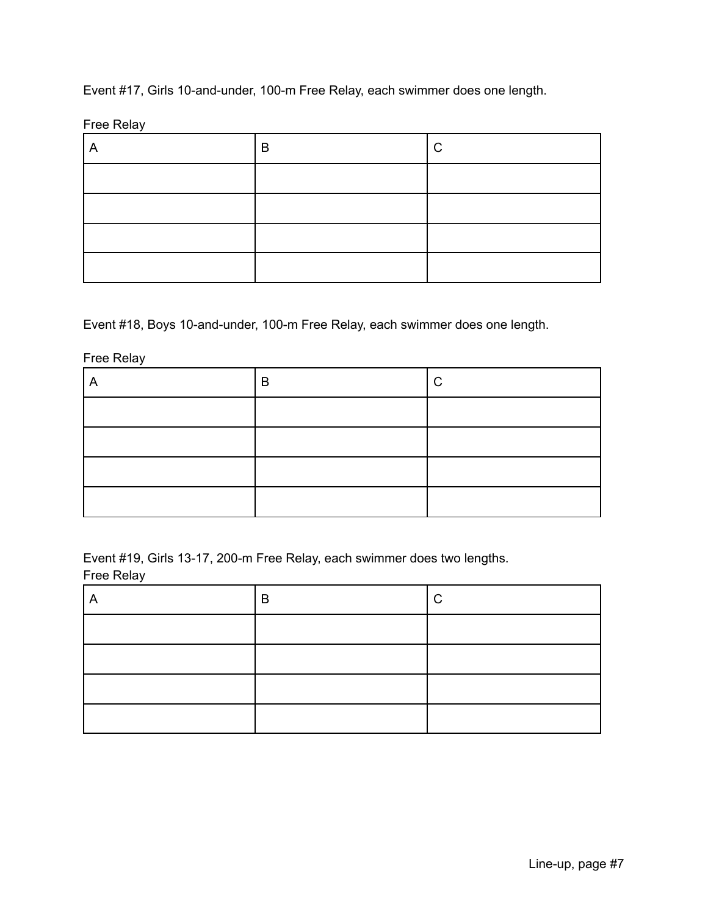Event #17, Girls 10-and-under, 100-m Free Relay, each swimmer does one length.

Free Relay

| B | ⌒ |
|---|---|
|   |   |
|   |   |
|   |   |
|   |   |

Event #18, Boys 10-and-under, 100-m Free Relay, each swimmer does one length.

Free Relay

| B | ⌒ |
|---|---|
|   |   |
|   |   |
|   |   |
|   |   |

Event #19, Girls 13-17, 200-m Free Relay, each swimmer does two lengths. Free Relay

| $\overline{A}$ | В | ⌒ |
|----------------|---|---|
|                |   |   |
|                |   |   |
|                |   |   |
|                |   |   |